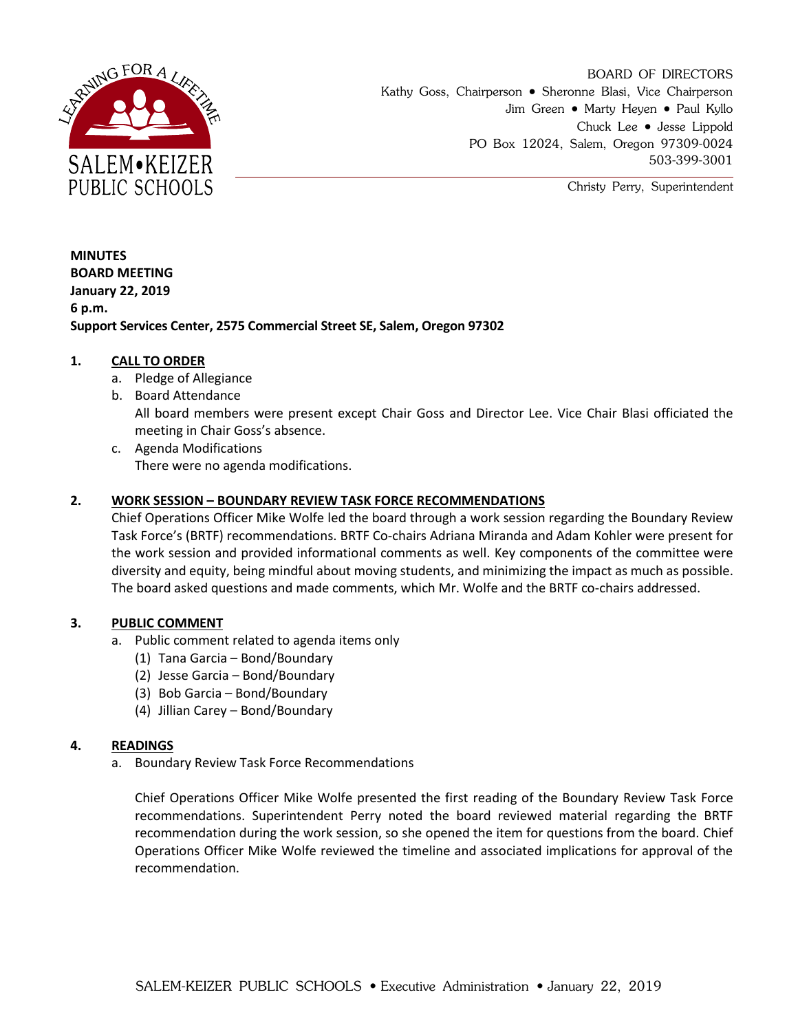

BOARD OF DIRECTORS Kathy Goss, Chairperson • Sheronne Blasi, Vice Chairperson Jim Green • Marty Heyen • Paul Kyllo Chuck Lee Jesse Lippold PO Box 12024, Salem, Oregon 97309-0024 503-399-3001

Christy Perry, Superintendent

**MINUTES BOARD MEETING January 22, 2019 6 p.m. Support Services Center, 2575 Commercial Street SE, Salem, Oregon 97302**

## **1. CALL TO ORDER**

- a. Pledge of Allegiance
- b. Board Attendance All board members were present except Chair Goss and Director Lee. Vice Chair Blasi officiated the meeting in Chair Goss's absence.
- c. Agenda Modifications There were no agenda modifications.

# **2. WORK SESSION – BOUNDARY REVIEW TASK FORCE RECOMMENDATIONS**

Chief Operations Officer Mike Wolfe led the board through a work session regarding the Boundary Review Task Force's (BRTF) recommendations. BRTF Co-chairs Adriana Miranda and Adam Kohler were present for the work session and provided informational comments as well. Key components of the committee were diversity and equity, being mindful about moving students, and minimizing the impact as much as possible. The board asked questions and made comments, which Mr. Wolfe and the BRTF co-chairs addressed.

# **3. PUBLIC COMMENT**

- a. Public comment related to agenda items only
	- (1) Tana Garcia Bond/Boundary
	- (2) Jesse Garcia Bond/Boundary
	- (3) Bob Garcia Bond/Boundary
	- (4) Jillian Carey Bond/Boundary

## **4. READINGS**

a. Boundary Review Task Force Recommendations

Chief Operations Officer Mike Wolfe presented the first reading of the Boundary Review Task Force recommendations. Superintendent Perry noted the board reviewed material regarding the BRTF recommendation during the work session, so she opened the item for questions from the board. Chief Operations Officer Mike Wolfe reviewed the timeline and associated implications for approval of the recommendation.